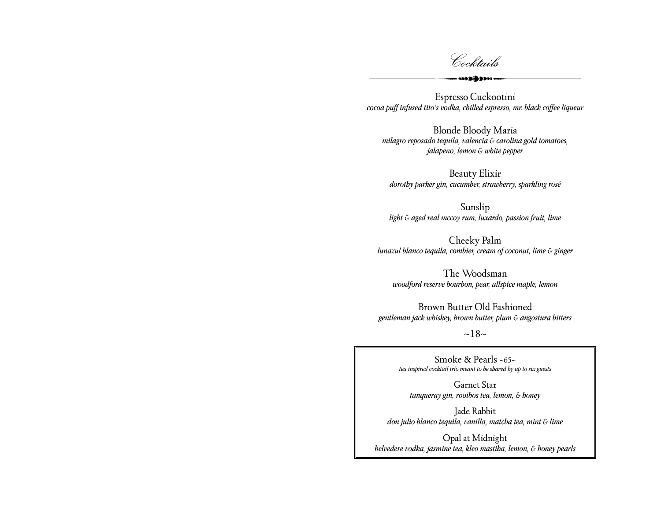Cocktails

 $000000000$ 

Espresso Cuckootini *cocoa puff infused tito's vodka, chilled espresso, mr. black coffee liqueur* 

Blonde Bloody Maria *milagro reposado tequila, valencia & carolina gold tomatoes, jalapeno, lemon & white pepper*

Beauty Elixir *dorothy parker gin, cucumber, strawberry, sparkling rosé*

Sunslip *light & aged real mccoy rum, luxardo, passion fruit, lime*

Cheeky Palm *lunazul blanco tequila, combier, cream of coconut, lime & ginger* 

The Woodsman *woodford reserve bourbon, pear, allspice maple, lemon*

Brown Butter Old Fashioned *gentleman jack whiskey, brown butter, plum & angostura bitters*

 $~18~$ 

Smoke & Pearls ~65~ *tea inspired cocktail trio meant to be shared by up to six guests*

Garnet Star *tanqueray gin, rooibos tea, lemon, & honey*

Jade Rabbit *don julio blanco tequila, vanilla, matcha tea, mint & lime*

Opal at Midnight *belvedere vodka, jasmine tea, kleo mastiha, lemon, & honey pearls*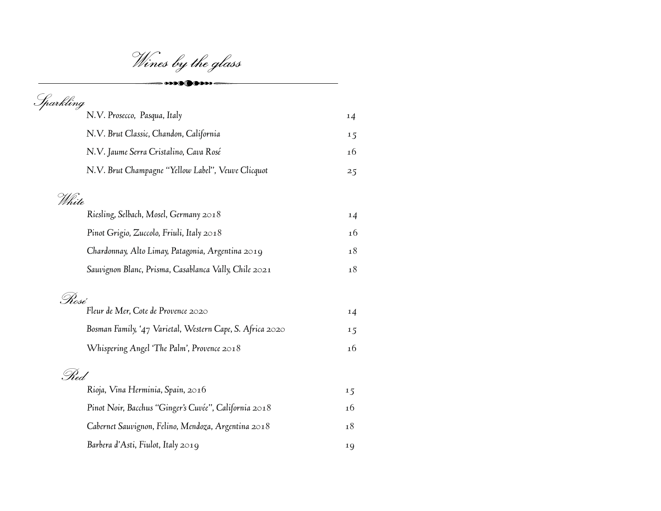Wines by the glass

 $\rightarrow$  000 (  $\rightarrow$  0000 –

| Sparkling                                                 |     |
|-----------------------------------------------------------|-----|
| N.V. Prosecco, Pasqua, Italy                              | 14  |
| N.V. Brut Classic, Chandon, California                    | 15  |
| N.V. Jaume Serra Cristalino, Cava Rosé                    | 16  |
| N.V. Brut Champagne "Yellow Label", Veuve Clicquot        | 25  |
| White                                                     |     |
| Riesling, Selbach, Mosel, Germany 2018                    | 14  |
| Pinot Grigio, Zuccolo, Friuli, Italy 2018                 | 16  |
| Chardonnay, Alto Limay, Patagonia, Argentina 2019         | 18  |
| Sauvignon Blanc, Prisma, Casablanca Vally, Chile 2021     | 18  |
| . Nosé                                                    |     |
| Fleur de Mer, Cote de Provence 2020                       | 14  |
| Bosman Family, '47 Varietal, Western Cape, S. Africa 2020 | 1.5 |
| Whispering Angel 'The Palm', Provence 2018                | 16  |
| .Shed.                                                    |     |
| Rioja, Vina Herminia, Spain, 2016                         | 1.5 |
| Pinot Noir, Bacchus "Ginger's Cuvée", California 2018     | 16  |
| Cabernet Sauvignon, Felino, Mendoza, Argentina 2018       | 18  |
| Barbera d'Asti, Fiulot, Italy 2019                        | 19  |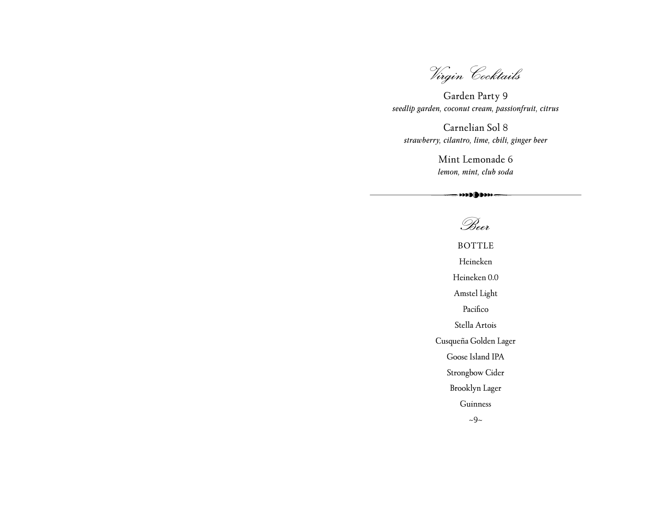Virgin Cocktails

Garden Party 9 *seedlip garden, coconut cream, passionfruit, citrus*

Carnelian Sol 8 *strawberry, cilantro, lime, chili, ginger beer*

> Mint Lemonade 6 *lemon, mint, club soda*

## Beer

BOTTLE Heineken Heineken 0.0 Amstel Light Pacifico Stella Artois Cusqueña Golden Lager Goose Island IPA Strongbow Cider Brooklyn Lager Guinness  $\sim$ 9~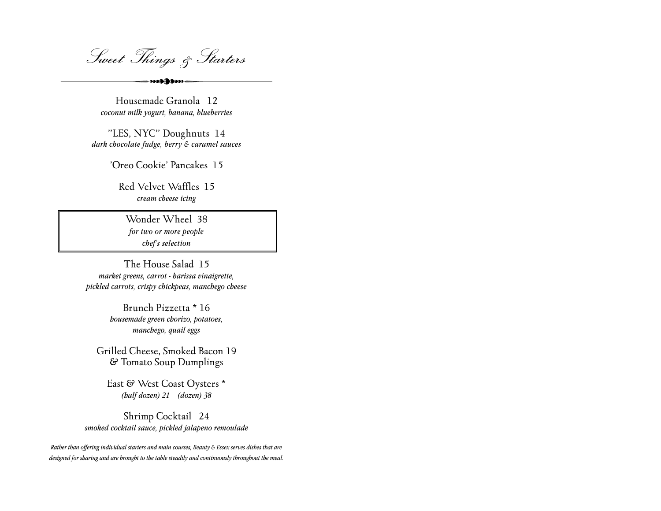Sweet Things & Starters

 $\cdots$ 

Housemade Granola 12 *coconut milk yogurt, banana, blueberries*

"LES, NYC" Doughnuts 14 *dark chocolate fudge, berry & caramel sauces*

'Oreo Cookie' Pancakes 15

Red Velvet Waffles 15 *cream cheese icing*

Wonder Wheel 38 *for two or more people chef's selection*

The House Salad 15 *market greens, carrot - harissa vinaigrette, pickled carrots, crispy chickpeas, manchego cheese*

> Brunch Pizzetta \* 16 *housemade green chorizo, potatoes, manchego, quail eggs*

Grilled Cheese, Smoked Bacon 19 & Tomato Soup Dumplings

East & West Coast Oysters \* *(half dozen) 21 (dozen) 38*

Shrimp Cocktail 24 *smoked cocktail sauce, pickled jalapeno remoulade*

*Rather than offering individual starters and main courses, Beauty & Essex serves dishes that are designed for sharing and are brought to the table steadily and continuously throughout the meal.*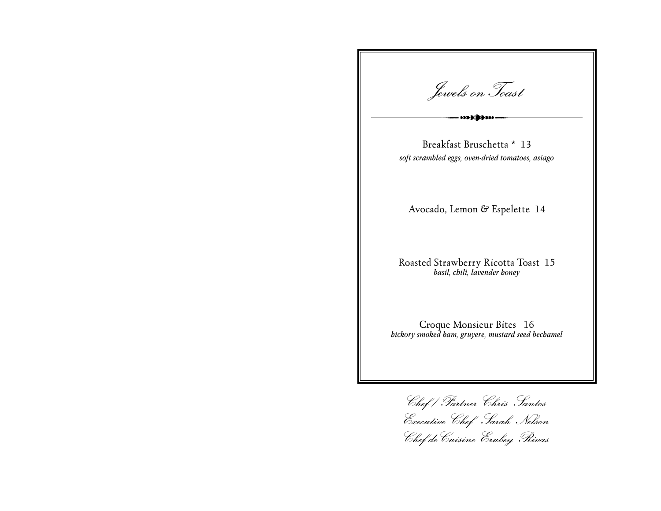Jewels onToast

Breakfast Bruschetta \* 13 *soft scrambled eggs, oven-dried tomatoes, asiago*

Avocado, Lemon & Espelette 14

Roasted Strawberry Ricotta Toast 15 *basil, chili, lavender honey*

Croque Monsieur Bites 16 *hickory smoked ham, gruyere, mustard seed bechamel*

Chef / Partner Chris Santos Executive Chef Sarah Nelson Chef deCuisine Erubey Rivas